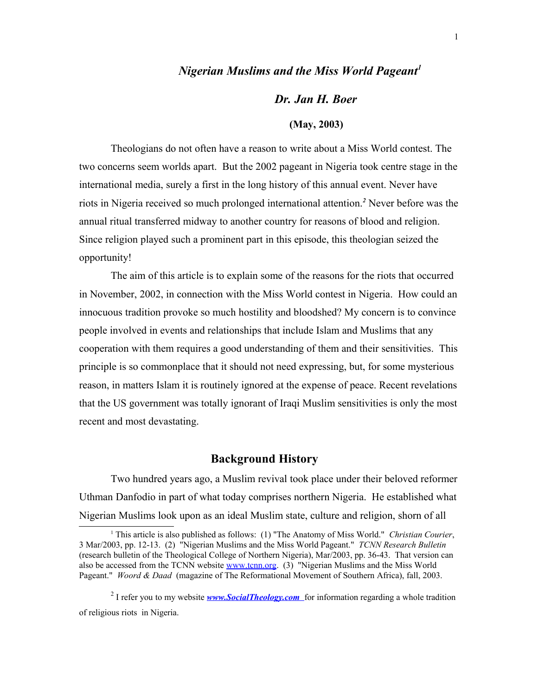### *Nigerian Muslims and the Miss World Pageant[1](#page-0-0)*

# *Dr. Jan H. Boer*

#### **(May, 2003)**

Theologians do not often have a reason to write about a Miss World contest. The two concerns seem worlds apart. But the 2002 pageant in Nigeria took centre stage in the international media, surely a first in the long history of this annual event. Never have riots in Nigeria received so much prolonged international attention.*[2](#page-0-1)* Never before was the annual ritual transferred midway to another country for reasons of blood and religion. Since religion played such a prominent part in this episode, this theologian seized the opportunity!

The aim of this article is to explain some of the reasons for the riots that occurred in November, 2002, in connection with the Miss World contest in Nigeria. How could an innocuous tradition provoke so much hostility and bloodshed? My concern is to convince people involved in events and relationships that include Islam and Muslims that any cooperation with them requires a good understanding of them and their sensitivities. This principle is so commonplace that it should not need expressing, but, for some mysterious reason, in matters Islam it is routinely ignored at the expense of peace. Recent revelations that the US government was totally ignorant of Iraqi Muslim sensitivities is only the most recent and most devastating.

#### **Background History**

Two hundred years ago, a Muslim revival took place under their beloved reformer Uthman Danfodio in part of what today comprises northern Nigeria. He established what Nigerian Muslims look upon as an ideal Muslim state, culture and religion, shorn of all

<span id="page-0-1"></span><sup>2</sup> I refer you to my website *www.SocialTheology.com* for information regarding a whole tradition of religious riots in Nigeria.

<span id="page-0-0"></span><sup>1</sup> This article is also published as follows: (1) "The Anatomy of Miss World." *Christian Courier*, 3 Mar/2003, pp. 12-13. (2) "Nigerian Muslims and the Miss World Pageant." *TCNN Research Bulletin* (research bulletin of the Theological College of Northern Nigeria), Mar/2003, pp. 36-43. That version can also be accessed from the TCNN website [www.tcnn.org.](http://www.tcnn.org/) (3) "Nigerian Muslims and the Miss World Pageant." *Woord & Daad* (magazine of The Reformational Movement of Southern Africa), fall, 2003.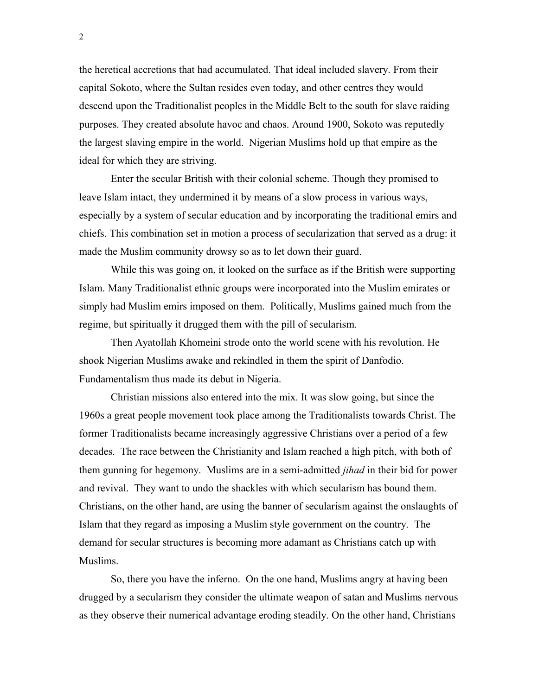the heretical accretions that had accumulated. That ideal included slavery. From their capital Sokoto, where the Sultan resides even today, and other centres they would descend upon the Traditionalist peoples in the Middle Belt to the south for slave raiding purposes. They created absolute havoc and chaos. Around 1900, Sokoto was reputedly the largest slaving empire in the world. Nigerian Muslims hold up that empire as the ideal for which they are striving.

Enter the secular British with their colonial scheme. Though they promised to leave Islam intact, they undermined it by means of a slow process in various ways, especially by a system of secular education and by incorporating the traditional emirs and chiefs. This combination set in motion a process of secularization that served as a drug: it made the Muslim community drowsy so as to let down their guard.

While this was going on, it looked on the surface as if the British were supporting Islam. Many Traditionalist ethnic groups were incorporated into the Muslim emirates or simply had Muslim emirs imposed on them. Politically, Muslims gained much from the regime, but spiritually it drugged them with the pill of secularism.

Then Ayatollah Khomeini strode onto the world scene with his revolution. He shook Nigerian Muslims awake and rekindled in them the spirit of Danfodio. Fundamentalism thus made its debut in Nigeria.

Christian missions also entered into the mix. It was slow going, but since the 1960s a great people movement took place among the Traditionalists towards Christ. The former Traditionalists became increasingly aggressive Christians over a period of a few decades. The race between the Christianity and Islam reached a high pitch, with both of them gunning for hegemony. Muslims are in a semi-admitted *jihad* in their bid for power and revival. They want to undo the shackles with which secularism has bound them. Christians, on the other hand, are using the banner of secularism against the onslaughts of Islam that they regard as imposing a Muslim style government on the country. The demand for secular structures is becoming more adamant as Christians catch up with Muslims.

So, there you have the inferno. On the one hand, Muslims angry at having been drugged by a secularism they consider the ultimate weapon of satan and Muslims nervous as they observe their numerical advantage eroding steadily. On the other hand, Christians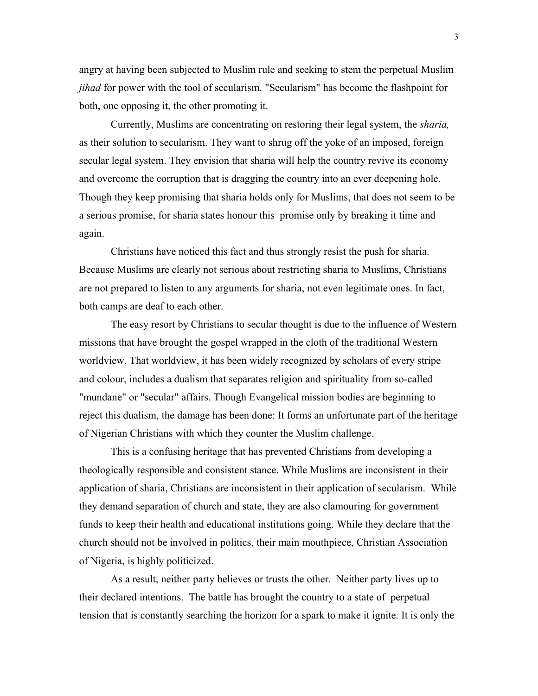angry at having been subjected to Muslim rule and seeking to stem the perpetual Muslim *jihad* for power with the tool of secularism. "Secularism" has become the flashpoint for both, one opposing it, the other promoting it.

Currently, Muslims are concentrating on restoring their legal system, the *sharia,* as their solution to secularism. They want to shrug off the yoke of an imposed, foreign secular legal system. They envision that sharia will help the country revive its economy and overcome the corruption that is dragging the country into an ever deepening hole. Though they keep promising that sharia holds only for Muslims, that does not seem to be a serious promise, for sharia states honour this promise only by breaking it time and again.

Christians have noticed this fact and thus strongly resist the push for sharia. Because Muslims are clearly not serious about restricting sharia to Muslims, Christians are not prepared to listen to any arguments for sharia, not even legitimate ones. In fact, both camps are deaf to each other.

The easy resort by Christians to secular thought is due to the influence of Western missions that have brought the gospel wrapped in the cloth of the traditional Western worldview. That worldview, it has been widely recognized by scholars of every stripe and colour, includes a dualism that separates religion and spirituality from so-called "mundane" or "secular" affairs. Though Evangelical mission bodies are beginning to reject this dualism, the damage has been done: It forms an unfortunate part of the heritage of Nigerian Christians with which they counter the Muslim challenge.

This is a confusing heritage that has prevented Christians from developing a theologically responsible and consistent stance. While Muslims are inconsistent in their application of sharia, Christians are inconsistent in their application of secularism. While they demand separation of church and state, they are also clamouring for government funds to keep their health and educational institutions going. While they declare that the church should not be involved in politics, their main mouthpiece, Christian Association of Nigeria, is highly politicized.

As a result, neither party believes or trusts the other. Neither party lives up to their declared intentions. The battle has brought the country to a state of perpetual tension that is constantly searching the horizon for a spark to make it ignite. It is only the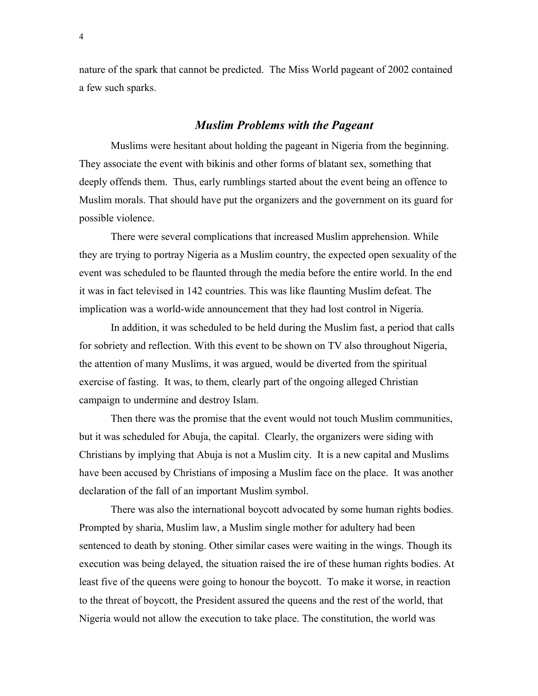nature of the spark that cannot be predicted. The Miss World pageant of 2002 contained a few such sparks.

#### *Muslim Problems with the Pageant*

Muslims were hesitant about holding the pageant in Nigeria from the beginning. They associate the event with bikinis and other forms of blatant sex, something that deeply offends them. Thus, early rumblings started about the event being an offence to Muslim morals. That should have put the organizers and the government on its guard for possible violence.

There were several complications that increased Muslim apprehension. While they are trying to portray Nigeria as a Muslim country, the expected open sexuality of the event was scheduled to be flaunted through the media before the entire world. In the end it was in fact televised in 142 countries. This was like flaunting Muslim defeat. The implication was a world-wide announcement that they had lost control in Nigeria.

In addition, it was scheduled to be held during the Muslim fast, a period that calls for sobriety and reflection. With this event to be shown on TV also throughout Nigeria, the attention of many Muslims, it was argued, would be diverted from the spiritual exercise of fasting. It was, to them, clearly part of the ongoing alleged Christian campaign to undermine and destroy Islam.

Then there was the promise that the event would not touch Muslim communities, but it was scheduled for Abuja, the capital. Clearly, the organizers were siding with Christians by implying that Abuja is not a Muslim city. It is a new capital and Muslims have been accused by Christians of imposing a Muslim face on the place. It was another declaration of the fall of an important Muslim symbol.

There was also the international boycott advocated by some human rights bodies. Prompted by sharia, Muslim law, a Muslim single mother for adultery had been sentenced to death by stoning. Other similar cases were waiting in the wings. Though its execution was being delayed, the situation raised the ire of these human rights bodies. At least five of the queens were going to honour the boycott. To make it worse, in reaction to the threat of boycott, the President assured the queens and the rest of the world, that Nigeria would not allow the execution to take place. The constitution, the world was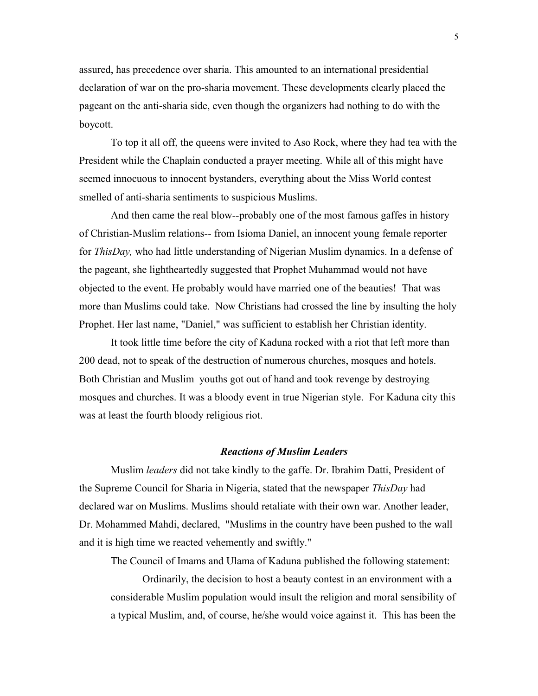assured, has precedence over sharia. This amounted to an international presidential declaration of war on the pro-sharia movement. These developments clearly placed the pageant on the anti-sharia side, even though the organizers had nothing to do with the boycott.

To top it all off, the queens were invited to Aso Rock, where they had tea with the President while the Chaplain conducted a prayer meeting. While all of this might have seemed innocuous to innocent bystanders, everything about the Miss World contest smelled of anti-sharia sentiments to suspicious Muslims.

And then came the real blow--probably one of the most famous gaffes in history of Christian-Muslim relations-- from Isioma Daniel, an innocent young female reporter for *ThisDay,* who had little understanding of Nigerian Muslim dynamics. In a defense of the pageant, she lightheartedly suggested that Prophet Muhammad would not have objected to the event. He probably would have married one of the beauties! That was more than Muslims could take. Now Christians had crossed the line by insulting the holy Prophet. Her last name, "Daniel," was sufficient to establish her Christian identity.

It took little time before the city of Kaduna rocked with a riot that left more than 200 dead, not to speak of the destruction of numerous churches, mosques and hotels. Both Christian and Muslim youths got out of hand and took revenge by destroying mosques and churches. It was a bloody event in true Nigerian style. For Kaduna city this was at least the fourth bloody religious riot.

#### *Reactions of Muslim Leaders*

Muslim *leaders* did not take kindly to the gaffe. Dr. Ibrahim Datti, President of the Supreme Council for Sharia in Nigeria, stated that the newspaper *ThisDay* had declared war on Muslims. Muslims should retaliate with their own war. Another leader, Dr. Mohammed Mahdi, declared, "Muslims in the country have been pushed to the wall and it is high time we reacted vehemently and swiftly."

The Council of Imams and Ulama of Kaduna published the following statement:

Ordinarily, the decision to host a beauty contest in an environment with a considerable Muslim population would insult the religion and moral sensibility of a typical Muslim, and, of course, he/she would voice against it. This has been the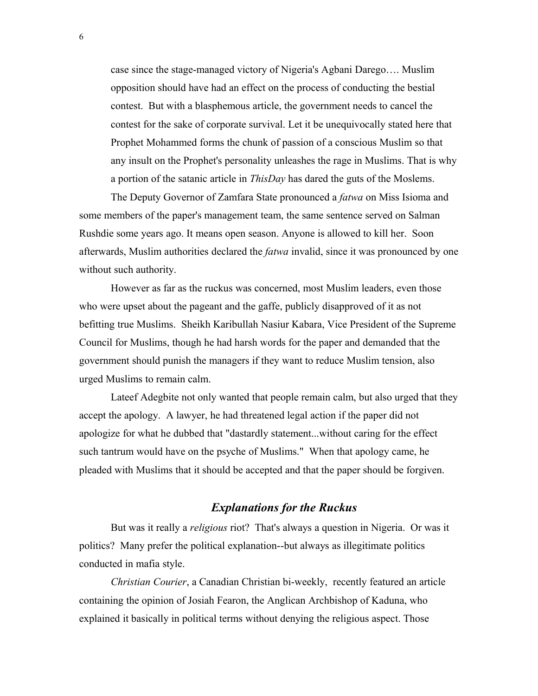case since the stage-managed victory of Nigeria's Agbani Darego…. Muslim opposition should have had an effect on the process of conducting the bestial contest. But with a blasphemous article, the government needs to cancel the contest for the sake of corporate survival. Let it be unequivocally stated here that Prophet Mohammed forms the chunk of passion of a conscious Muslim so that any insult on the Prophet's personality unleashes the rage in Muslims. That is why a portion of the satanic article in *ThisDay* has dared the guts of the Moslems.

The Deputy Governor of Zamfara State pronounced a *fatwa* on Miss Isioma and some members of the paper's management team, the same sentence served on Salman Rushdie some years ago. It means open season. Anyone is allowed to kill her. Soon afterwards, Muslim authorities declared the *fatwa* invalid, since it was pronounced by one without such authority.

However as far as the ruckus was concerned, most Muslim leaders, even those who were upset about the pageant and the gaffe, publicly disapproved of it as not befitting true Muslims. Sheikh Karibullah Nasiur Kabara, Vice President of the Supreme Council for Muslims, though he had harsh words for the paper and demanded that the government should punish the managers if they want to reduce Muslim tension, also urged Muslims to remain calm.

Lateef Adegbite not only wanted that people remain calm, but also urged that they accept the apology. A lawyer, he had threatened legal action if the paper did not apologize for what he dubbed that "dastardly statement...without caring for the effect such tantrum would have on the psyche of Muslims." When that apology came, he pleaded with Muslims that it should be accepted and that the paper should be forgiven.

## *Explanations for the Ruckus*

But was it really a *religious* riot? That's always a question in Nigeria. Or was it politics? Many prefer the political explanation--but always as illegitimate politics conducted in mafia style.

*Christian Courier*, a Canadian Christian bi-weekly, recently featured an article containing the opinion of Josiah Fearon, the Anglican Archbishop of Kaduna, who explained it basically in political terms without denying the religious aspect. Those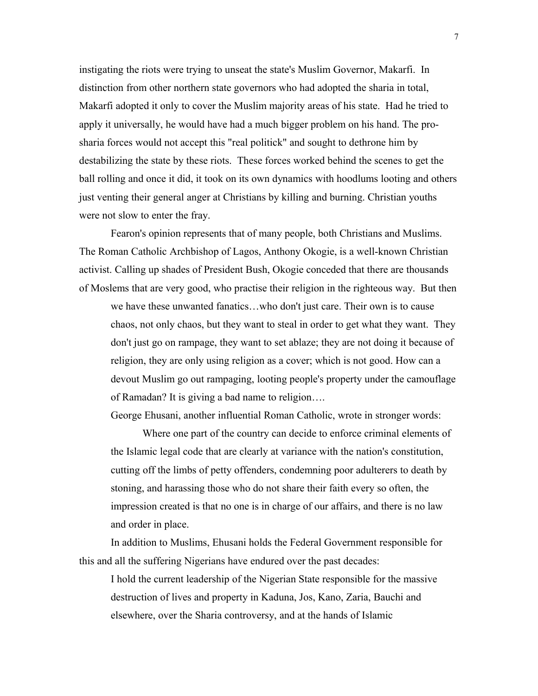instigating the riots were trying to unseat the state's Muslim Governor, Makarfi. In distinction from other northern state governors who had adopted the sharia in total, Makarfi adopted it only to cover the Muslim majority areas of his state. Had he tried to apply it universally, he would have had a much bigger problem on his hand. The prosharia forces would not accept this "real politick" and sought to dethrone him by destabilizing the state by these riots. These forces worked behind the scenes to get the ball rolling and once it did, it took on its own dynamics with hoodlums looting and others just venting their general anger at Christians by killing and burning. Christian youths were not slow to enter the fray.

Fearon's opinion represents that of many people, both Christians and Muslims. The Roman Catholic Archbishop of Lagos, Anthony Okogie, is a well-known Christian activist. Calling up shades of President Bush, Okogie conceded that there are thousands of Moslems that are very good, who practise their religion in the righteous way. But then

we have these unwanted fanatics…who don't just care. Their own is to cause chaos, not only chaos, but they want to steal in order to get what they want. They don't just go on rampage, they want to set ablaze; they are not doing it because of religion, they are only using religion as a cover; which is not good. How can a devout Muslim go out rampaging, looting people's property under the camouflage of Ramadan? It is giving a bad name to religion….

George Ehusani, another influential Roman Catholic, wrote in stronger words:

Where one part of the country can decide to enforce criminal elements of the Islamic legal code that are clearly at variance with the nation's constitution, cutting off the limbs of petty offenders, condemning poor adulterers to death by stoning, and harassing those who do not share their faith every so often, the impression created is that no one is in charge of our affairs, and there is no law and order in place.

In addition to Muslims, Ehusani holds the Federal Government responsible for this and all the suffering Nigerians have endured over the past decades:

I hold the current leadership of the Nigerian State responsible for the massive destruction of lives and property in Kaduna, Jos, Kano, Zaria, Bauchi and elsewhere, over the Sharia controversy, and at the hands of Islamic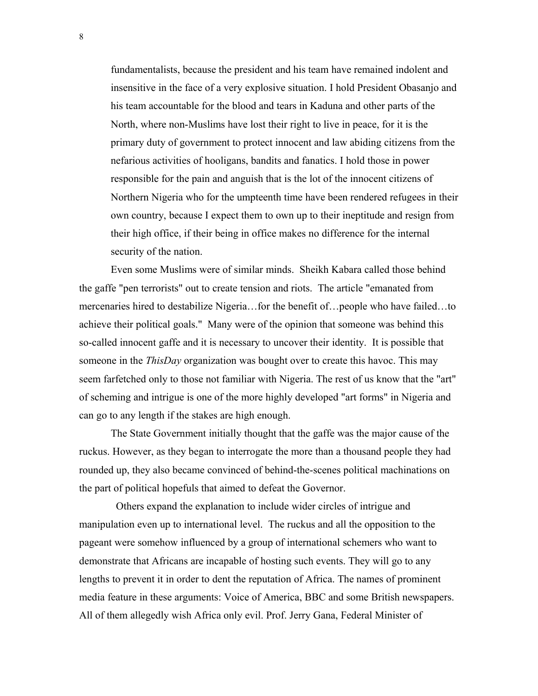fundamentalists, because the president and his team have remained indolent and insensitive in the face of a very explosive situation. I hold President Obasanjo and his team accountable for the blood and tears in Kaduna and other parts of the North, where non-Muslims have lost their right to live in peace, for it is the primary duty of government to protect innocent and law abiding citizens from the nefarious activities of hooligans, bandits and fanatics. I hold those in power responsible for the pain and anguish that is the lot of the innocent citizens of Northern Nigeria who for the umpteenth time have been rendered refugees in their own country, because I expect them to own up to their ineptitude and resign from their high office, if their being in office makes no difference for the internal security of the nation.

Even some Muslims were of similar minds. Sheikh Kabara called those behind the gaffe "pen terrorists" out to create tension and riots. The article "emanated from mercenaries hired to destabilize Nigeria…for the benefit of…people who have failed…to achieve their political goals." Many were of the opinion that someone was behind this so-called innocent gaffe and it is necessary to uncover their identity. It is possible that someone in the *ThisDay* organization was bought over to create this havoc. This may seem farfetched only to those not familiar with Nigeria. The rest of us know that the "art" of scheming and intrigue is one of the more highly developed "art forms" in Nigeria and can go to any length if the stakes are high enough.

The State Government initially thought that the gaffe was the major cause of the ruckus. However, as they began to interrogate the more than a thousand people they had rounded up, they also became convinced of behind-the-scenes political machinations on the part of political hopefuls that aimed to defeat the Governor.

 Others expand the explanation to include wider circles of intrigue and manipulation even up to international level. The ruckus and all the opposition to the pageant were somehow influenced by a group of international schemers who want to demonstrate that Africans are incapable of hosting such events. They will go to any lengths to prevent it in order to dent the reputation of Africa. The names of prominent media feature in these arguments: Voice of America, BBC and some British newspapers. All of them allegedly wish Africa only evil. Prof. Jerry Gana, Federal Minister of